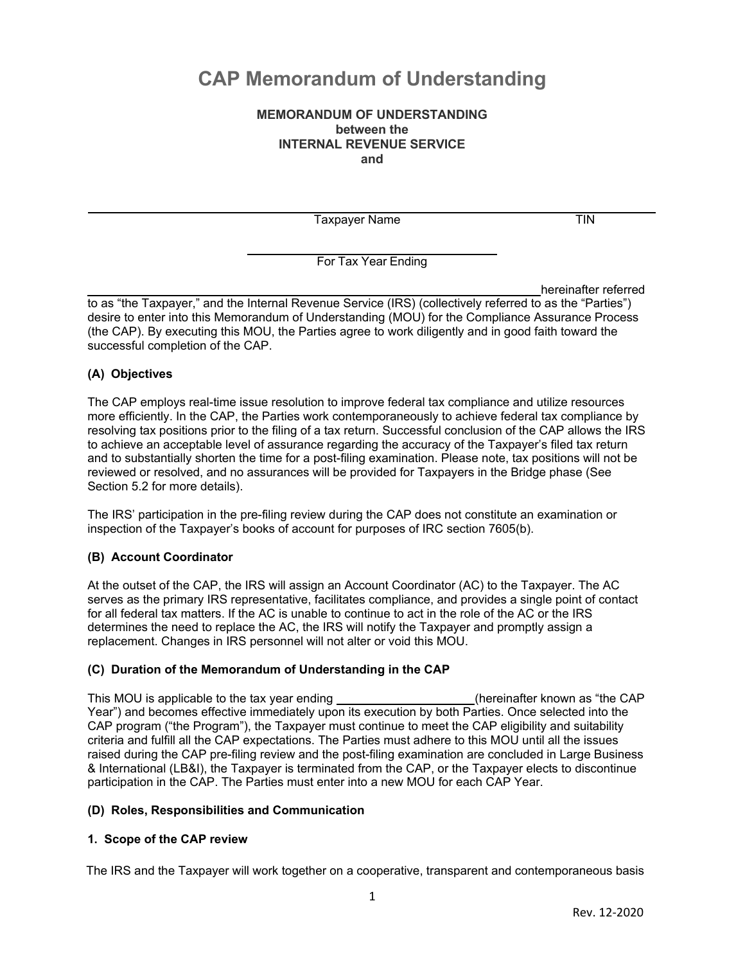# **CAP Memorandum of Understanding**

## **between the MEMORANDUM OF UNDERSTANDING INTERNAL REVENUE SERVICE and**

Taxpayer Name TIN

For Tax Year Ending

 desire to enter into this Memorandum of Understanding (MOU) for the Compliance Assurance Process (the CAP). By executing this MOU, the Parties agree to work diligently and in good faith toward the hereinafter referred to as "the Taxpayer," and the Internal Revenue Service (IRS) (collectively referred to as the "Parties") successful completion of the CAP.

#### **(A) Objectives**

 The CAP employs real-time issue resolution to improve federal tax compliance and utilize resources more efficiently. In the CAP, the Parties work contemporaneously to achieve federal tax compliance by resolving tax positions prior to the filing of a tax return. Successful conclusion of the CAP allows the IRS to achieve an acceptable level of assurance regarding the accuracy of the Taxpayer's filed tax return and to substantially shorten the time for a post-filing examination. Please note, tax positions will not be reviewed or resolved, and no assurances will be provided for Taxpayers in the Bridge phase (See Section 5.2 for more details).

 The IRS' participation in the pre-filing review during the CAP does not constitute an examination or inspection of the Taxpayer's books of account for purposes of IRC section 7605(b).

## **(B) Account Coordinator**

 At the outset of the CAP, the IRS will assign an Account Coordinator (AC) to the Taxpayer. The AC serves as the primary IRS representative, facilitates compliance, and provides a single point of contact for all federal tax matters. If the AC is unable to continue to act in the role of the AC or the IRS determines the need to replace the AC, the IRS will notify the Taxpayer and promptly assign a replacement. Changes in IRS personnel will not alter or void this MOU.

## **(C) Duration of the Memorandum of Understanding in the CAP**

This MOU is applicable to the tax year ending \_\_\_\_\_\_\_\_\_\_\_\_\_\_\_\_\_\_\_\_(hereinafter known as "the CAP Year") and becomes effective immediately upon its execution by both Parties. Once selected into the CAP program ("the Program"), the Taxpayer must continue to meet the CAP eligibility and suitability criteria and fulfill all the CAP expectations. The Parties must adhere to this MOU until all the issues & International (LB&I), the Taxpayer is terminated from the CAP, or the Taxpayer elects to discontinue participation in the CAP. The Parties must enter into a new MOU for each CAP Year. raised during the CAP pre-filing review and the post-filing examination are concluded in Large Business

#### **(D) Roles, Responsibilities and Communication**

## **1. Scope of the CAP review**

The IRS and the Taxpayer will work together on a cooperative, transparent and contemporaneous basis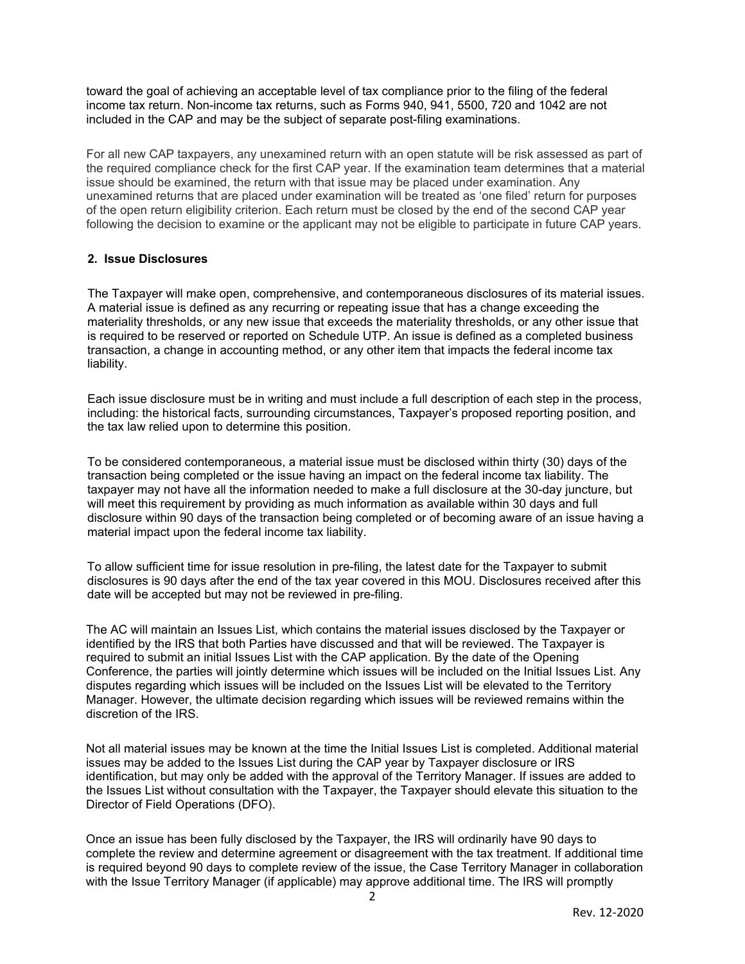toward the goal of achieving an acceptable level of tax compliance prior to the filing of the federal income tax return. Non-income tax returns, such as Forms 940, 941, 5500, 720 and 1042 are not included in the CAP and may be the subject of separate post-filing examinations.

 For all new CAP taxpayers, any unexamined return with an open statute will be risk assessed as part of the required compliance check for the first CAP year. If the examination team determines that a material issue should be examined, the return with that issue may be placed under examination. Any unexamined returns that are placed under examination will be treated as 'one filed' return for purposes of the open return eligibility criterion. Each return must be closed by the end of the second CAP year following the decision to examine or the applicant may not be eligible to participate in future CAP years.

#### **2. Issue Disclosures**

 The Taxpayer will make open, comprehensive, and contemporaneous disclosures of its material issues. A material issue is defined as any recurring or repeating issue that has a change exceeding the materiality thresholds, or any new issue that exceeds the materiality thresholds, or any other issue that is required to be reserved or reported on Schedule UTP. An issue is defined as a completed business transaction, a change in accounting method, or any other item that impacts the federal income tax liability.

liability.<br>Each issue disclosure must be in writing and must include a full description of each step in the process, including: the historical facts, surrounding circumstances, Taxpayer's proposed reporting position, and the tax law relied upon to determine this position.

 To be considered contemporaneous, a material issue must be disclosed within thirty (30) days of the transaction being completed or the issue having an impact on the federal income tax liability. The taxpayer may not have all the information needed to make a full disclosure at the 30-day juncture, but will meet this requirement by providing as much information as available within 30 days and full disclosure within 90 days of the transaction being completed or of becoming aware of an issue having a material impact upon the federal income tax liability.

 To allow sufficient time for issue resolution in pre-filing, the latest date for the Taxpayer to submit disclosures is 90 days after the end of the tax year covered in this MOU. Disclosures received after this date will be accepted but may not be reviewed in pre-filing.

 The AC will maintain an Issues List, which contains the material issues disclosed by the Taxpayer or identified by the IRS that both Parties have discussed and that will be reviewed. The Taxpayer is required to submit an initial Issues List with the CAP application. By the date of the Opening Conference, the parties will jointly determine which issues will be included on the Initial Issues List. Any disputes regarding which issues will be included on the Issues List will be elevated to the Territory Manager. However, the ultimate decision regarding which issues will be reviewed remains within the discretion of the IRS.

 Not all material issues may be known at the time the Initial Issues List is completed. Additional material issues may be added to the Issues List during the CAP year by Taxpayer disclosure or IRS identification, but may only be added with the approval of the Territory Manager. If issues are added to the Issues List without consultation with the Taxpayer, the Taxpayer should elevate this situation to the Director of Field Operations (DFO).

 Once an issue has been fully disclosed by the Taxpayer, the IRS will ordinarily have 90 days to complete the review and determine agreement or disagreement with the tax treatment. If additional time is required beyond 90 days to complete review of the issue, the Case Territory Manager in collaboration with the Issue Territory Manager (if applicable) may approve additional time. The IRS will promptly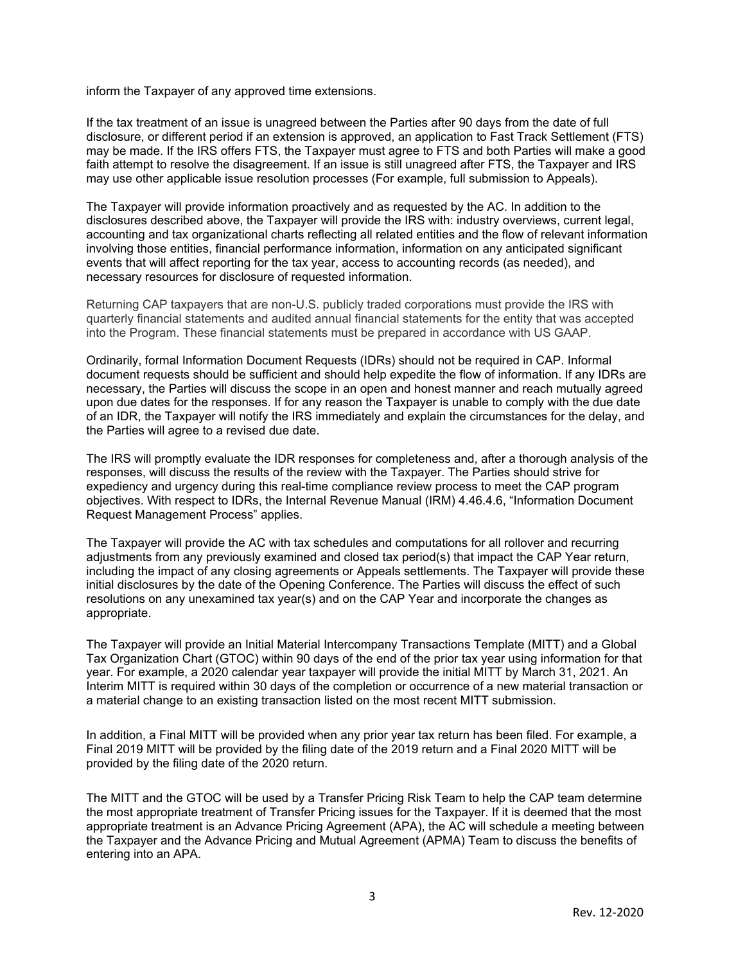inform the Taxpayer of any approved time extensions.

 If the tax treatment of an issue is unagreed between the Parties after 90 days from the date of full disclosure, or different period if an extension is approved, an application to Fast Track Settlement (FTS) may be made. If the IRS offers FTS, the Taxpayer must agree to FTS and both Parties will make a good faith attempt to resolve the disagreement. If an issue is still unagreed after FTS, the Taxpayer and IRS may use other applicable issue resolution processes (For example, full submission to Appeals).

 The Taxpayer will provide information proactively and as requested by the AC. In addition to the disclosures described above, the Taxpayer will provide the IRS with: industry overviews, current legal, accounting and tax organizational charts reflecting all related entities and the flow of relevant information involving those entities, financial performance information, information on any anticipated significant events that will affect reporting for the tax year, access to accounting records (as needed), and necessary resources for disclosure of requested information.

 Returning CAP taxpayers that are non-U.S. publicly traded corporations must provide the IRS with quarterly financial statements and audited annual financial statements for the entity that was accepted into the Program. These financial statements must be prepared in accordance with US GAAP.

 Ordinarily, formal Information Document Requests (IDRs) should not be required in CAP. Informal document requests should be sufficient and should help expedite the flow of information. If any IDRs are necessary, the Parties will discuss the scope in an open and honest manner and reach mutually agreed upon due dates for the responses. If for any reason the Taxpayer is unable to comply with the due date of an IDR, the Taxpayer will notify the IRS immediately and explain the circumstances for the delay, and the Parties will agree to a revised due date.

 The IRS will promptly evaluate the IDR responses for completeness and, after a thorough analysis of the responses, will discuss the results of the review with the Taxpayer. The Parties should strive for expediency and urgency during this real-time compliance review process to meet the CAP program objectives. With respect to IDRs, the Internal Revenue Manual (IRM) 4.46.4.6, "Information Document Request Management Process" applies.

 The Taxpayer will provide the AC with tax schedules and computations for all rollover and recurring adjustments from any previously examined and closed tax period(s) that impact the CAP Year return, including the impact of any closing agreements or Appeals settlements. The Taxpayer will provide these initial disclosures by the date of the Opening Conference. The Parties will discuss the effect of such resolutions on any unexamined tax year(s) and on the CAP Year and incorporate the changes as appropriate.

 The Taxpayer will provide an Initial Material Intercompany Transactions Template (MITT) and a Global Tax Organization Chart (GTOC) within 90 days of the end of the prior tax year using information for that year. For example, a 2020 calendar year taxpayer will provide the initial MITT by March 31, 2021. An Interim MITT is required within 30 days of the completion or occurrence of a new material transaction or a material change to an existing transaction listed on the most recent MITT submission.

 In addition, a Final MITT will be provided when any prior year tax return has been filed. For example, a Final 2019 MITT will be provided by the filing date of the 2019 return and a Final 2020 MITT will be provided by the filing date of the 2020 return.

 The MITT and the GTOC will be used by a Transfer Pricing Risk Team to help the CAP team determine the most appropriate treatment of Transfer Pricing issues for the Taxpayer. If it is deemed that the most appropriate treatment is an Advance Pricing Agreement (APA), the AC will schedule a meeting between the Taxpayer and the Advance Pricing and Mutual Agreement (APMA) Team to discuss the benefits of entering into an APA.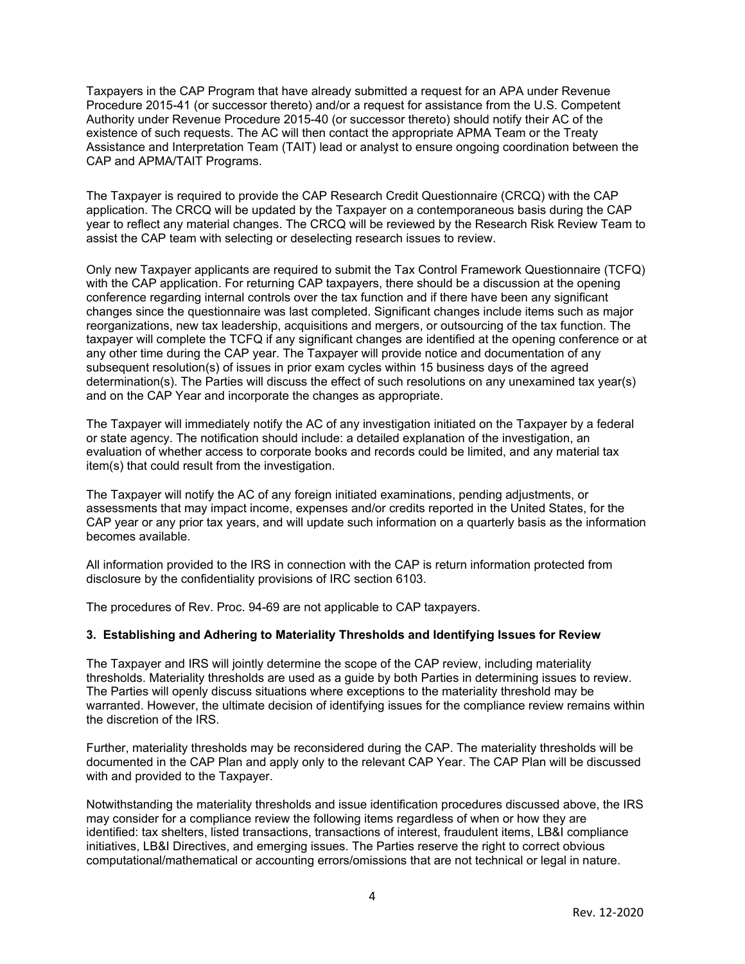Taxpayers in the CAP Program that have already submitted a request for an APA under Revenue Procedure 2015-41 (or successor thereto) and/or a request for assistance from the U.S. Competent Authority under Revenue Procedure 2015-40 (or successor thereto) should notify their AC of the existence of such requests. The AC will then contact the appropriate APMA Team or the Treaty Assistance and Interpretation Team (TAIT) lead or analyst to ensure ongoing coordination between the CAP and APMA/TAIT Programs.

 The Taxpayer is required to provide the CAP Research Credit Questionnaire (CRCQ) with the CAP application. The CRCQ will be updated by the Taxpayer on a contemporaneous basis during the CAP year to reflect any material changes. The CRCQ will be reviewed by the Research Risk Review Team to assist the CAP team with selecting or deselecting research issues to review.

 Only new Taxpayer applicants are required to submit the Tax Control Framework Questionnaire (TCFQ) with the CAP application. For returning CAP taxpayers, there should be a discussion at the opening conference regarding internal controls over the tax function and if there have been any significant changes since the questionnaire was last completed. Significant changes include items such as major reorganizations, new tax leadership, acquisitions and mergers, or outsourcing of the tax function. The taxpayer will complete the TCFQ if any significant changes are identified at the opening conference or at any other time during the CAP year. The Taxpayer will provide notice and documentation of any subsequent resolution(s) of issues in prior exam cycles within 15 business days of the agreed determination(s). The Parties will discuss the effect of such resolutions on any unexamined tax year(s) and on the CAP Year and incorporate the changes as appropriate.

 The Taxpayer will immediately notify the AC of any investigation initiated on the Taxpayer by a federal or state agency. The notification should include: a detailed explanation of the investigation, an evaluation of whether access to corporate books and records could be limited, and any material tax item(s) that could result from the investigation.

 The Taxpayer will notify the AC of any foreign initiated examinations, pending adjustments, or assessments that may impact income, expenses and/or credits reported in the United States, for the CAP year or any prior tax years, and will update such information on a quarterly basis as the information becomes available.

 All information provided to the IRS in connection with the CAP is return information protected from disclosure by the confidentiality provisions of IRC section 6103.

The procedures of Rev. Proc. 94-69 are not applicable to CAP taxpayers.

#### **3. Establishing and Adhering to Materiality Thresholds and Identifying Issues for Review**

 The Taxpayer and IRS will jointly determine the scope of the CAP review, including materiality thresholds. Materiality thresholds are used as a guide by both Parties in determining issues to review. The Parties will openly discuss situations where exceptions to the materiality threshold may be warranted. However, the ultimate decision of identifying issues for the compliance review remains within the discretion of the IRS.

 Further, materiality thresholds may be reconsidered during the CAP. The materiality thresholds will be documented in the CAP Plan and apply only to the relevant CAP Year. The CAP Plan will be discussed with and provided to the Taxpayer.

 Notwithstanding the materiality thresholds and issue identification procedures discussed above, the IRS may consider for a compliance review the following items regardless of when or how they are identified: tax shelters, listed transactions, transactions of interest, fraudulent items, LB&I compliance initiatives, LB&I Directives, and emerging issues. The Parties reserve the right to correct obvious computational/mathematical or accounting errors/omissions that are not technical or legal in nature.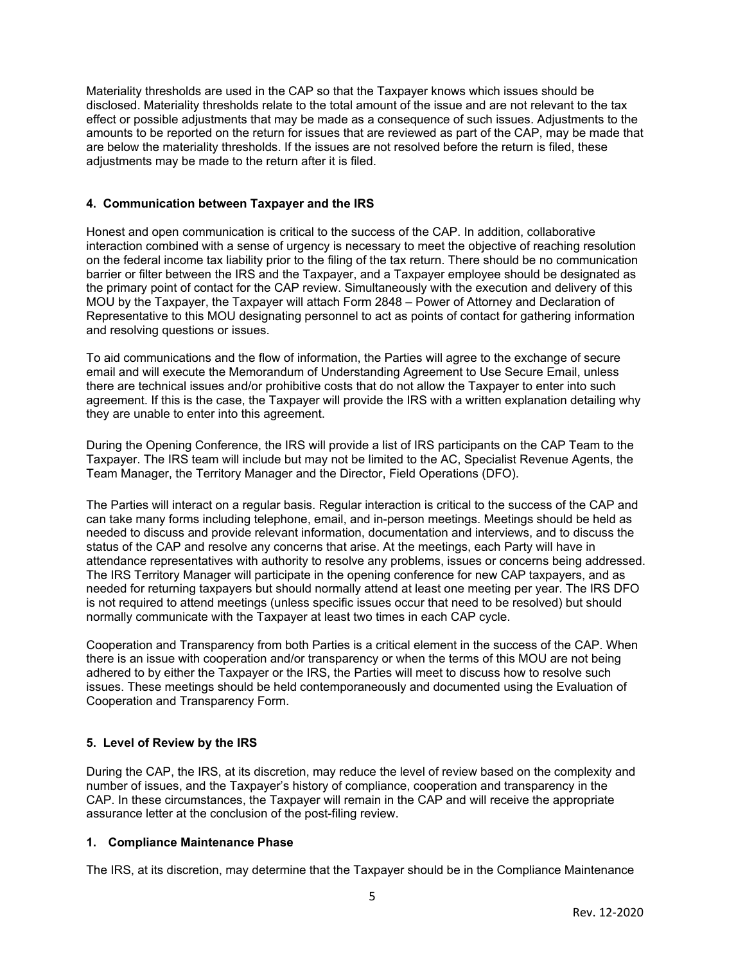Materiality thresholds are used in the CAP so that the Taxpayer knows which issues should be disclosed. Materiality thresholds relate to the total amount of the issue and are not relevant to the tax effect or possible adjustments that may be made as a consequence of such issues. Adjustments to the amounts to be reported on the return for issues that are reviewed as part of the CAP, may be made that are below the materiality thresholds. If the issues are not resolved before the return is filed, these adjustments may be made to the return after it is filed.

#### **4. Communication between Taxpayer and the IRS**

 Honest and open communication is critical to the success of the CAP. In addition, collaborative interaction combined with a sense of urgency is necessary to meet the objective of reaching resolution on the federal income tax liability prior to the filing of the tax return. There should be no communication barrier or filter between the IRS and the Taxpayer, and a Taxpayer employee should be designated as the primary point of contact for the CAP review. Simultaneously with the execution and delivery of this MOU by the Taxpayer, the Taxpayer will attach Form 2848 – Power of Attorney and Declaration of Representative to this MOU designating personnel to act as points of contact for gathering information and resolving questions or issues.

 To aid communications and the flow of information, the Parties will agree to the exchange of secure email and will execute the Memorandum of Understanding Agreement to Use Secure Email, unless there are technical issues and/or prohibitive costs that do not allow the Taxpayer to enter into such agreement. If this is the case, the Taxpayer will provide the IRS with a written explanation detailing why they are unable to enter into this agreement.

 During the Opening Conference, the IRS will provide a list of IRS participants on the CAP Team to the Taxpayer. The IRS team will include but may not be limited to the AC, Specialist Revenue Agents, the Team Manager, the Territory Manager and the Director, Field Operations (DFO).

 The Parties will interact on a regular basis. Regular interaction is critical to the success of the CAP and can take many forms including telephone, email, and in-person meetings. Meetings should be held as status of the CAP and resolve any concerns that arise. At the meetings, each Party will have in attendance representatives with authority to resolve any problems, issues or concerns being addressed. The IRS Territory Manager will participate in the opening conference for new CAP taxpayers, and as needed for returning taxpayers but should normally attend at least one meeting per year. The IRS DFO is not required to attend meetings (unless specific issues occur that need to be resolved) but should normally communicate with the Taxpayer at least two times in each CAP cycle. needed to discuss and provide relevant information, documentation and interviews, and to discuss the

 Cooperation and Transparency from both Parties is a critical element in the success of the CAP. When there is an issue with cooperation and/or transparency or when the terms of this MOU are not being adhered to by either the Taxpayer or the IRS, the Parties will meet to discuss how to resolve such Cooperation and Transparency Form. issues. These meetings should be held contemporaneously and documented using the Evaluation of

## **5. Level of Review by the IRS**

 During the CAP, the IRS, at its discretion, may reduce the level of review based on the complexity and number of issues, and the Taxpayer's history of compliance, cooperation and transparency in the CAP. In these circumstances, the Taxpayer will remain in the CAP and will receive the appropriate assurance letter at the conclusion of the post-filing review.

#### **1. Compliance Maintenance Phase**

The IRS, at its discretion, may determine that the Taxpayer should be in the Compliance Maintenance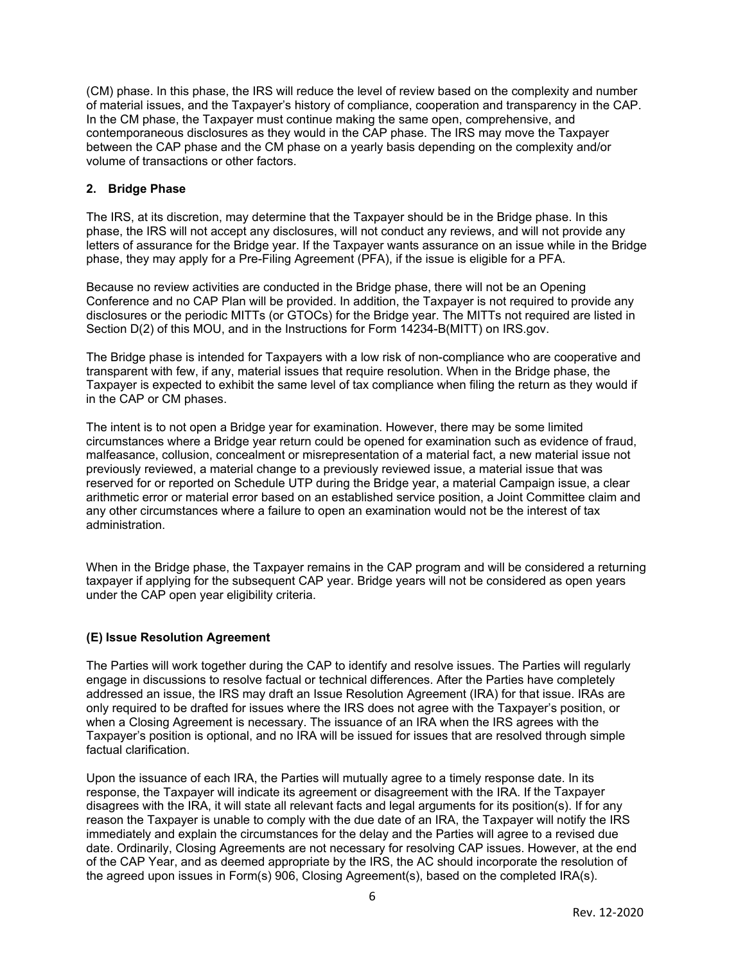(CM) phase. In this phase, the IRS will reduce the level of review based on the complexity and number of material issues, and the Taxpayer's history of compliance, cooperation and transparency in the CAP. In the CM phase, the Taxpayer must continue making the same open, comprehensive, and contemporaneous disclosures as they would in the CAP phase. The IRS may move the Taxpayer between the CAP phase and the CM phase on a yearly basis depending on the complexity and/or volume of transactions or other factors.

#### **2. Bridge Phase**

 The IRS, at its discretion, may determine that the Taxpayer should be in the Bridge phase. In this phase, the IRS will not accept any disclosures, will not conduct any reviews, and will not provide any letters of assurance for the Bridge year. If the Taxpayer wants assurance on an issue while in the Bridge phase, they may apply for a Pre-Filing Agreement (PFA), if the issue is eligible for a PFA.

 Because no review activities are conducted in the Bridge phase, there will not be an Opening Conference and no CAP Plan will be provided. In addition, the Taxpayer is not required to provide any disclosures or the periodic MITTs (or GTOCs) for the Bridge year. The MITTs not required are listed in Section D(2) of this MOU, and in the Instructions for Form 14234-B(MITT) on IRS.gov.

 The Bridge phase is intended for Taxpayers with a low risk of non-compliance who are cooperative and transparent with few, if any, material issues that require resolution. When in the Bridge phase, the Taxpayer is expected to exhibit the same level of tax compliance when filing the return as they would if in the CAP or CM phases.

 The intent is to not open a Bridge year for examination. However, there may be some limited circumstances where a Bridge year return could be opened for examination such as evidence of fraud, malfeasance, collusion, concealment or misrepresentation of a material fact, a new material issue not previously reviewed, a material change to a previously reviewed issue, a material issue that was reserved for or reported on Schedule UTP during the Bridge year, a material Campaign issue, a clear arithmetic error or material error based on an established service position, a Joint Committee claim and any other circumstances where a failure to open an examination would not be the interest of tax administration.

 When in the Bridge phase, the Taxpayer remains in the CAP program and will be considered a returning taxpayer if applying for the subsequent CAP year. Bridge years will not be considered as open years under the CAP open year eligibility criteria.

#### **(E) Issue Resolution Agreement**

 The Parties will work together during the CAP to identify and resolve issues. The Parties will regularly engage in discussions to resolve factual or technical differences. After the Parties have completely addressed an issue, the IRS may draft an Issue Resolution Agreement (IRA) for that issue. IRAs are only required to be drafted for issues where the IRS does not agree with the Taxpayer's position, or when a Closing Agreement is necessary. The issuance of an IRA when the IRS agrees with the Taxpayer's position is optional, and no IRA will be issued for issues that are resolved through simple factual clarification.

 Upon the issuance of each IRA, the Parties will mutually agree to a timely response date. In its response, the Taxpayer will indicate its agreement or disagreement with the IRA. If the Taxpayer disagrees with the IRA, it will state all relevant facts and legal arguments for its position(s). If for any reason the Taxpayer is unable to comply with the due date of an IRA, the Taxpayer will notify the IRS immediately and explain the circumstances for the delay and the Parties will agree to a revised due date. Ordinarily, Closing Agreements are not necessary for resolving CAP issues. However, at the end of the CAP Year, and as deemed appropriate by the IRS, the AC should incorporate the resolution of the agreed upon issues in Form(s) 906, Closing Agreement(s), based on the completed IRA(s).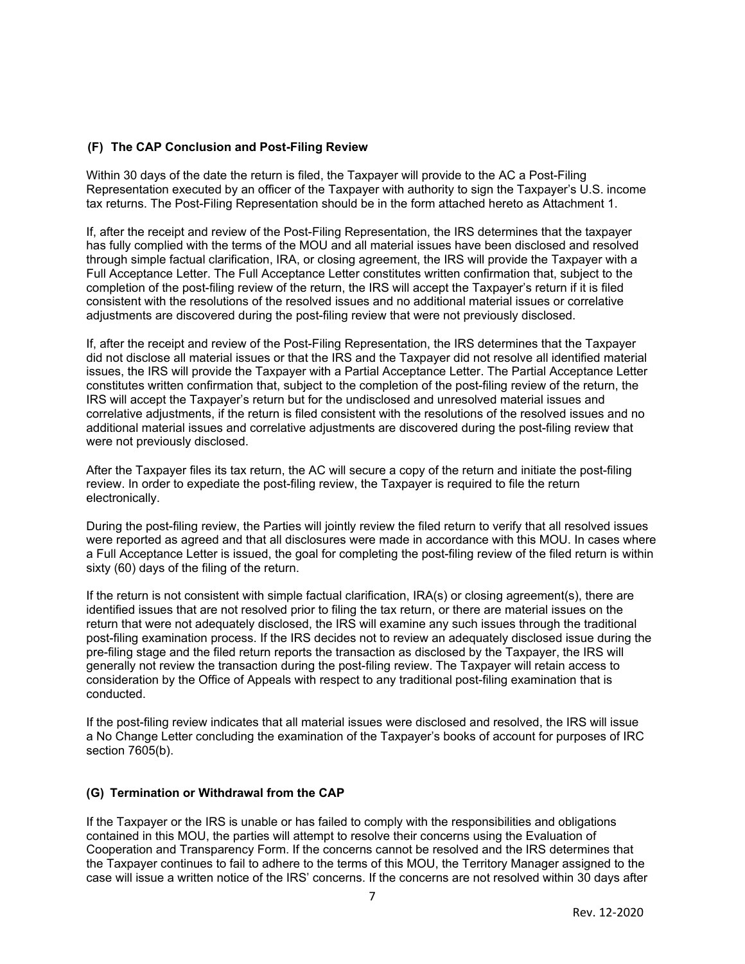## **(F) The CAP Conclusion and Post-Filing Review**

 Within 30 days of the date the return is filed, the Taxpayer will provide to the AC a Post-Filing Representation executed by an officer of the Taxpayer with authority to sign the Taxpayer's U.S. income tax returns. The Post-Filing Representation should be in the form attached hereto as Attachment 1.

 If, after the receipt and review of the Post-Filing Representation, the IRS determines that the taxpayer has fully complied with the terms of the MOU and all material issues have been disclosed and resolved through simple factual clarification, IRA, or closing agreement, the IRS will provide the Taxpayer with a Full Acceptance Letter. The Full Acceptance Letter constitutes written confirmation that, subject to the completion of the post-filing review of the return, the IRS will accept the Taxpayer's return if it is filed consistent with the resolutions of the resolved issues and no additional material issues or correlative adjustments are discovered during the post-filing review that were not previously disclosed.

 If, after the receipt and review of the Post-Filing Representation, the IRS determines that the Taxpayer did not disclose all material issues or that the IRS and the Taxpayer did not resolve all identified material issues, the IRS will provide the Taxpayer with a Partial Acceptance Letter. The Partial Acceptance Letter constitutes written confirmation that, subject to the completion of the post-filing review of the return, the IRS will accept the Taxpayer's return but for the undisclosed and unresolved material issues and correlative adjustments, if the return is filed consistent with the resolutions of the resolved issues and no additional material issues and correlative adjustments are discovered during the post-filing review that were not previously disclosed.

 After the Taxpayer files its tax return, the AC will secure a copy of the return and initiate the post-filing review. In order to expediate the post-filing review, the Taxpayer is required to file the return electronically.

 During the post-filing review, the Parties will jointly review the filed return to verify that all resolved issues were reported as agreed and that all disclosures were made in accordance with this MOU. In cases where a Full Acceptance Letter is issued, the goal for completing the post-filing review of the filed return is within sixty (60) days of the filing of the return.

 If the return is not consistent with simple factual clarification, IRA(s) or closing agreement(s), there are identified issues that are not resolved prior to filing the tax return, or there are material issues on the return that were not adequately disclosed, the IRS will examine any such issues through the traditional post-filing examination process. If the IRS decides not to review an adequately disclosed issue during the pre-filing stage and the filed return reports the transaction as disclosed by the Taxpayer, the IRS will generally not review the transaction during the post-filing review. The Taxpayer will retain access to consideration by the Office of Appeals with respect to any traditional post-filing examination that is conducted.

 If the post-filing review indicates that all material issues were disclosed and resolved, the IRS will issue a No Change Letter concluding the examination of the Taxpayer's books of account for purposes of IRC section 7605(b).

## **(G) Termination or Withdrawal from the CAP**

 If the Taxpayer or the IRS is unable or has failed to comply with the responsibilities and obligations contained in this MOU, the parties will attempt to resolve their concerns using the Evaluation of Cooperation and Transparency Form. If the concerns cannot be resolved and the IRS determines that the Taxpayer continues to fail to adhere to the terms of this MOU, the Territory Manager assigned to the case will issue a written notice of the IRS' concerns. If the concerns are not resolved within 30 days after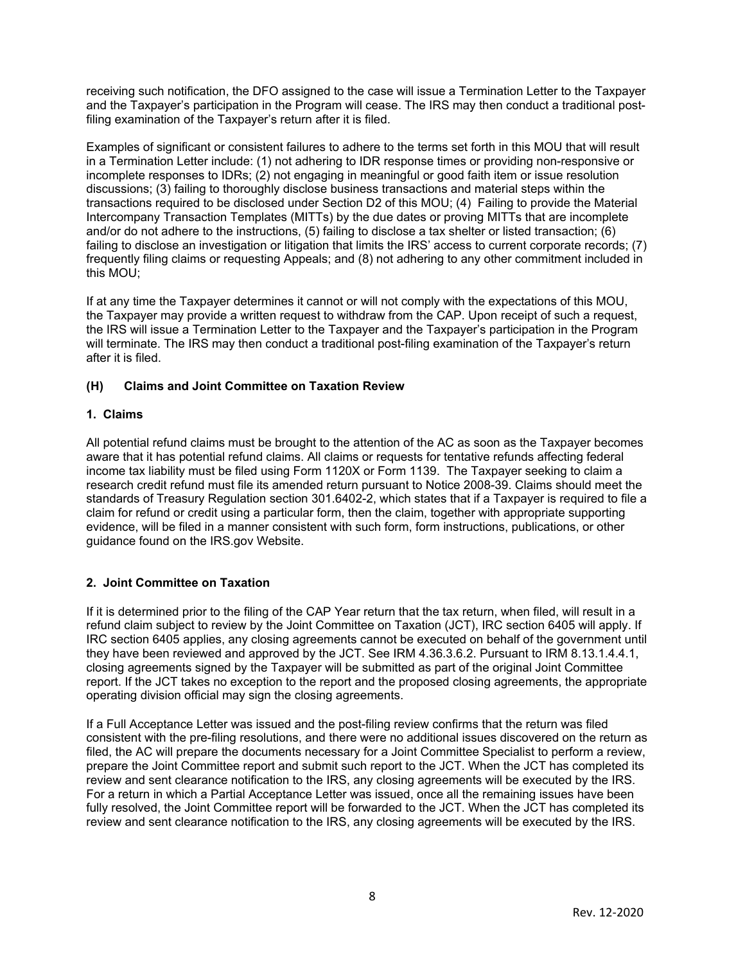receiving such notification, the DFO assigned to the case will issue a Termination Letter to the Taxpayer and the Taxpayer's participation in the Program will cease. The IRS may then conduct a traditional post-filing examination of the Taxpayer's return after it is filed.

 Examples of significant or consistent failures to adhere to the terms set forth in this MOU that will result in a Termination Letter include: (1) not adhering to IDR response times or providing non-responsive or incomplete responses to IDRs; (2) not engaging in meaningful or good faith item or issue resolution discussions; (3) failing to thoroughly disclose business transactions and material steps within the transactions required to be disclosed under Section D2 of this MOU; (4) Failing to provide the Material Intercompany Transaction Templates (MITTs) by the due dates or proving MITTs that are incomplete and/or do not adhere to the instructions, (5) failing to disclose a tax shelter or listed transaction; (6) failing to disclose an investigation or litigation that limits the IRS' access to current corporate records; (7) frequently filing claims or requesting Appeals; and (8) not adhering to any other commitment included in this MOU;

 If at any time the Taxpayer determines it cannot or will not comply with the expectations of this MOU, the Taxpayer may provide a written request to withdraw from the CAP. Upon receipt of such a request, the IRS will issue a Termination Letter to the Taxpayer and the Taxpayer's participation in the Program will terminate. The IRS may then conduct a traditional post-filing examination of the Taxpayer's return after it is filed.

## **(H) Claims and Joint Committee on Taxation Review**

## **1. Claims**

 All potential refund claims must be brought to the attention of the AC as soon as the Taxpayer becomes aware that it has potential refund claims. All claims or requests for tentative refunds affecting federal income tax liability must be filed using Form 1120X or Form 1139. The Taxpayer seeking to claim a research credit refund must file its amended return pursuant to Notice 2008-39. Claims should meet the standards of Treasury Regulation section 301.6402-2, which states that if a Taxpayer is required to file a claim for refund or credit using a particular form, then the claim, together with appropriate supporting evidence, will be filed in a manner consistent with such form, form instructions, publications, or other guidance found on the IRS.gov Website.

## **2. Joint Committee on Taxation**

 If it is determined prior to the filing of the CAP Year return that the tax return, when filed, will result in a refund claim subject to review by the Joint Committee on Taxation (JCT), IRC section 6405 will apply. If IRC section 6405 applies, any closing agreements cannot be executed on behalf of the government until they have been reviewed and approved by the JCT. See IRM 4.36.3.6.2. Pursuant to IRM 8.13.1.4.4.1, closing agreements signed by the Taxpayer will be submitted as part of the original Joint Committee report. If the JCT takes no exception to the report and the proposed closing agreements, the appropriate operating division official may sign the closing agreements.

 If a Full Acceptance Letter was issued and the post-filing review confirms that the return was filed consistent with the pre-filing resolutions, and there were no additional issues discovered on the return as filed, the AC will prepare the documents necessary for a Joint Committee Specialist to perform a review, prepare the Joint Committee report and submit such report to the JCT. When the JCT has completed its review and sent clearance notification to the IRS, any closing agreements will be executed by the IRS. For a return in which a Partial Acceptance Letter was issued, once all the remaining issues have been fully resolved, the Joint Committee report will be forwarded to the JCT. When the JCT has completed its review and sent clearance notification to the IRS, any closing agreements will be executed by the IRS.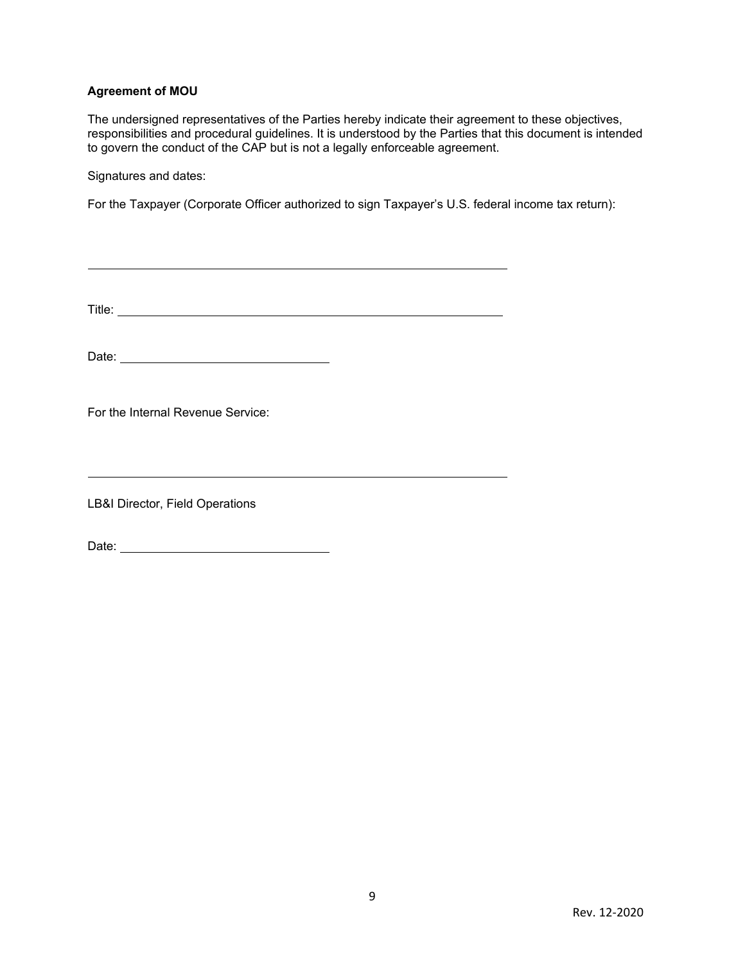## **Agreement of MOU**

 The undersigned representatives of the Parties hereby indicate their agreement to these objectives, responsibilities and procedural guidelines. It is understood by the Parties that this document is intended to govern the conduct of the CAP but is not a legally enforceable agreement.

Signatures and dates:

For the Taxpayer (Corporate Officer authorized to sign Taxpayer's U.S. federal income tax return):

Title:

Date:

For the Internal Revenue Service:

LB&I Director, Field Operations

Date: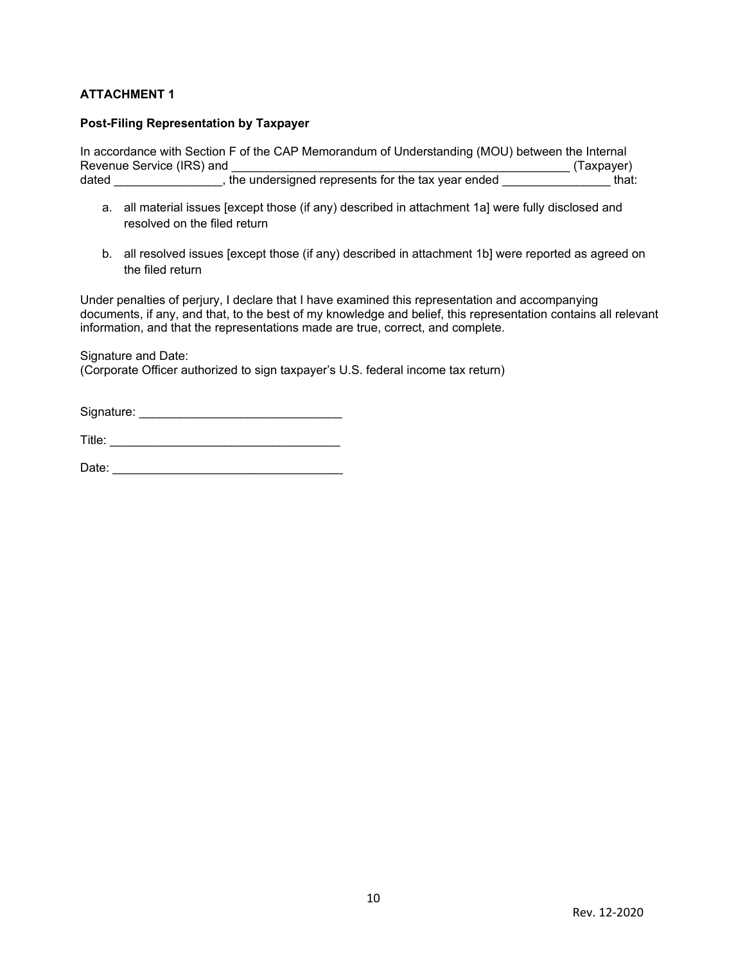## **ATTACHMENT 1**

#### **Post-Filing Representation by Taxpayer**

 In accordance with Section F of the CAP Memorandum of Understanding (MOU) between the Internal Revenue Service (IRS) and \_\_\_\_\_\_\_\_\_\_\_\_\_\_\_\_\_\_\_\_\_\_\_\_\_\_\_\_\_\_\_\_\_\_\_\_\_\_\_\_\_\_\_\_\_\_\_\_\_\_ (Taxpayer) dated \_\_\_\_\_\_\_\_\_\_\_\_\_\_\_\_, the undersigned represents for the tax year ended \_\_\_\_\_\_\_\_\_\_\_\_\_\_\_\_ that:

- a. all material issues [except those (if any) described in attachment 1a] were fully disclosed and resolved on the filed return
- b. all resolved issues [except those (if any) described in attachment 1b] were reported as agreed on the filed return

 Under penalties of perjury, I declare that I have examined this representation and accompanying documents, if any, and that, to the best of my knowledge and belief, this representation contains all relevant information, and that the representations made are true, correct, and complete.

 (Corporate Officer authorized to sign taxpayer's U.S. federal income tax return) Signature and Date:

Signature: \_\_\_\_\_\_\_\_\_\_\_\_\_\_\_\_\_\_\_\_\_\_\_\_\_\_\_\_\_\_

T itle: \_\_\_\_\_\_\_\_\_\_\_\_\_\_\_\_\_\_\_\_\_\_\_\_\_\_\_\_\_\_\_\_\_\_

Date: \_\_\_\_\_\_\_\_\_\_\_\_\_\_\_\_\_\_\_\_\_\_\_\_\_\_\_\_\_\_\_\_\_\_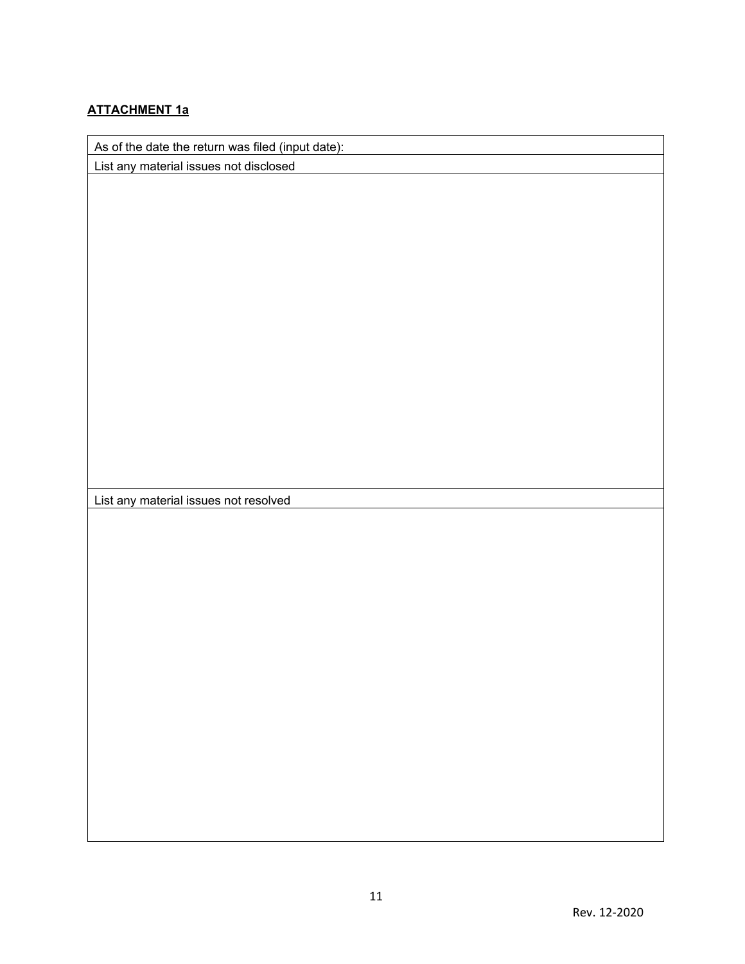## **ATTACHMENT 1a**

As of the date the return was filed (input date):

List any material issues not disclosed

List any material issues not resolved